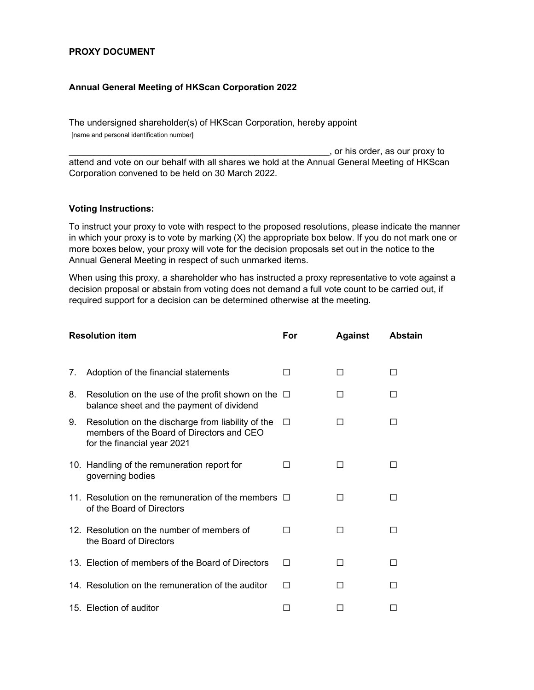## PROXY DOCUMENT

## Annual General Meeting of HKScan Corporation 2022

The undersigned shareholder(s) of HKScan Corporation, hereby appoint [name and personal identification number]

\_\_\_\_\_\_\_\_\_\_\_\_\_\_\_\_\_\_\_\_\_\_\_\_\_\_\_\_\_\_\_\_\_\_\_\_\_\_\_\_\_\_\_\_\_\_\_\_\_\_\_\_, or his order, as our proxy to attend and vote on our behalf with all shares we hold at the Annual General Meeting of HKScan Corporation convened to be held on 30 March 2022.

## Voting Instructions:

To instruct your proxy to vote with respect to the proposed resolutions, please indicate the manner in which your proxy is to vote by marking (X) the appropriate box below. If you do not mark one or more boxes below, your proxy will vote for the decision proposals set out in the notice to the Annual General Meeting in respect of such unmarked items.

When using this proxy, a shareholder who has instructed a proxy representative to vote against a decision proposal or abstain from voting does not demand a full vote count to be carried out, if required support for a decision can be determined otherwise at the meeting.

| <b>Resolution item</b> |                                                                                                                               | For          | <b>Against</b> | <b>Abstain</b> |
|------------------------|-------------------------------------------------------------------------------------------------------------------------------|--------------|----------------|----------------|
| 7.                     | Adoption of the financial statements                                                                                          |              | П              | ΙI             |
| 8.                     | Resolution on the use of the profit shown on the $\Box$<br>balance sheet and the payment of dividend                          |              | $\mathsf{L}$   |                |
| 9.                     | Resolution on the discharge from liability of the<br>members of the Board of Directors and CEO<br>for the financial year 2021 | $\Box$       | П              | П              |
|                        | 10. Handling of the remuneration report for<br>governing bodies                                                               |              | ΙI             | ΙI             |
|                        | 11. Resolution on the remuneration of the members $\Box$<br>of the Board of Directors                                         |              | П              | П              |
|                        | 12. Resolution on the number of members of<br>the Board of Directors                                                          | $\mathsf{L}$ | ΙI             | П              |
|                        | 13. Election of members of the Board of Directors                                                                             | П            | П              | П              |
|                        | 14. Resolution on the remuneration of the auditor                                                                             | П            | П              | ΙI             |
|                        | 15. Election of auditor                                                                                                       |              |                |                |